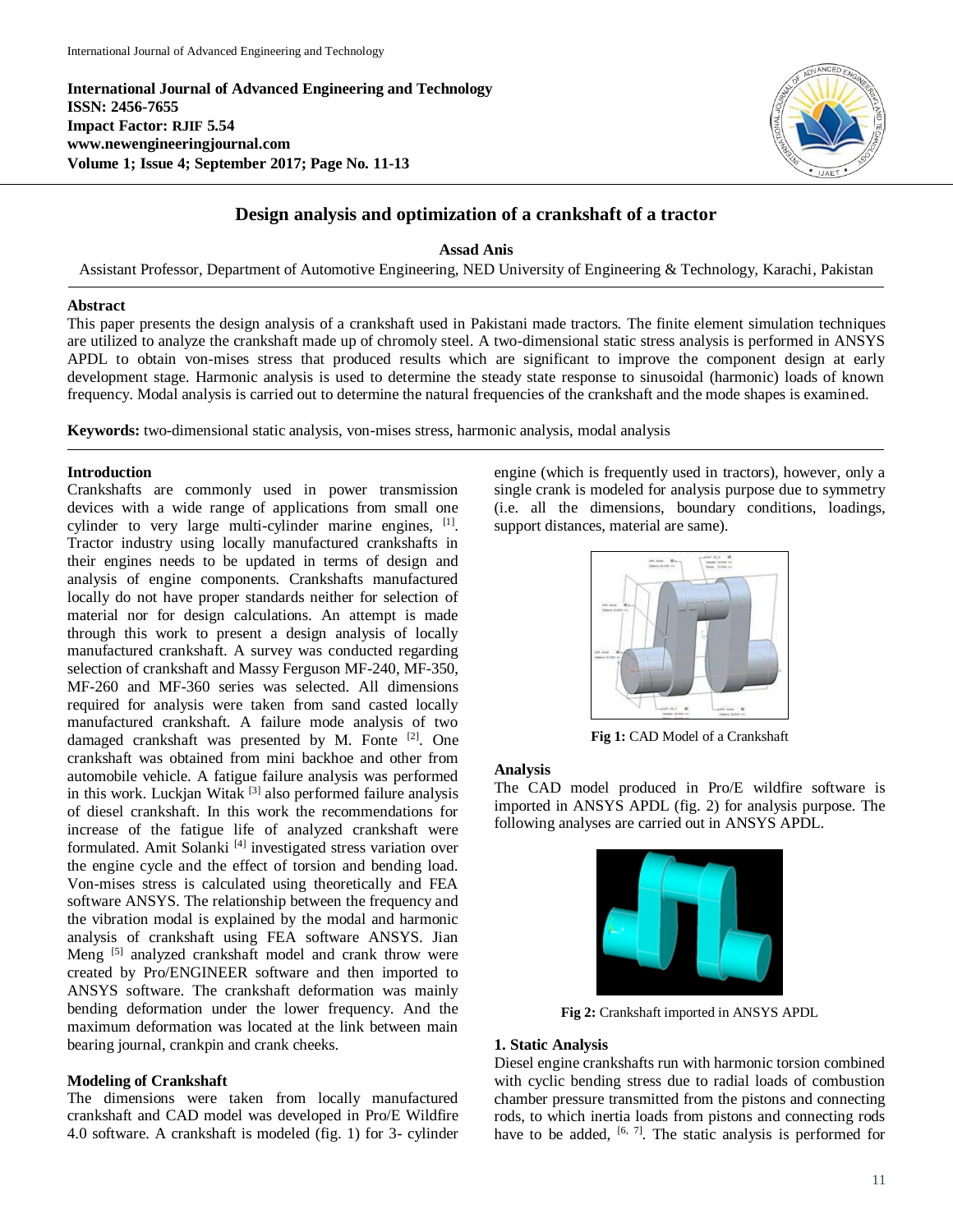**International Journal of Advanced Engineering and Technology ISSN: 2456-7655 Impact Factor: RJIF 5.54 www.newengineeringjournal.com Volume 1; Issue 4; September 2017; Page No. 11-13**



# **Design analysis and optimization of a crankshaft of a tractor**

**Assad Anis**

Assistant Professor, Department of Automotive Engineering, NED University of Engineering & Technology, Karachi, Pakistan

#### **Abstract**

This paper presents the design analysis of a crankshaft used in Pakistani made tractors. The finite element simulation techniques are utilized to analyze the crankshaft made up of chromoly steel. A two-dimensional static stress analysis is performed in ANSYS APDL to obtain von-mises stress that produced results which are significant to improve the component design at early development stage. Harmonic analysis is used to determine the steady state response to sinusoidal (harmonic) loads of known frequency. Modal analysis is carried out to determine the natural frequencies of the crankshaft and the mode shapes is examined.

**Keywords:** two-dimensional static analysis, von-mises stress, harmonic analysis, modal analysis

# **Introduction**

Crankshafts are commonly used in power transmission devices with a wide range of applications from small one cylinder to very large multi-cylinder marine engines, <sup>[1]</sup>. Tractor industry using locally manufactured crankshafts in their engines needs to be updated in terms of design and analysis of engine components. Crankshafts manufactured locally do not have proper standards neither for selection of material nor for design calculations. An attempt is made through this work to present a design analysis of locally manufactured crankshaft. A survey was conducted regarding selection of crankshaft and Massy Ferguson MF-240, MF-350, MF-260 and MF-360 series was selected. All dimensions required for analysis were taken from sand casted locally manufactured crankshaft. A failure mode analysis of two damaged crankshaft was presented by M. Fonte <sup>[2]</sup>. One crankshaft was obtained from mini backhoe and other from automobile vehicle. A fatigue failure analysis was performed in this work. Luckjan Witak  $[3]$  also performed failure analysis of diesel crankshaft. In this work the recommendations for increase of the fatigue life of analyzed crankshaft were formulated. Amit Solanki<sup>[4]</sup> investigated stress variation over the engine cycle and the effect of torsion and bending load. Von-mises stress is calculated using theoretically and FEA software ANSYS. The relationship between the frequency and the vibration modal is explained by the modal and harmonic analysis of crankshaft using FEA software ANSYS. Jian Meng<sup>[5]</sup> analyzed crankshaft model and crank throw were created by Pro/ENGINEER software and then imported to ANSYS software. The crankshaft deformation was mainly bending deformation under the lower frequency. And the maximum deformation was located at the link between main bearing journal, crankpin and crank cheeks.

# **Modeling of Crankshaft**

The dimensions were taken from locally manufactured crankshaft and CAD model was developed in Pro/E Wildfire 4.0 software. A crankshaft is modeled (fig. 1) for 3- cylinder engine (which is frequently used in tractors), however, only a single crank is modeled for analysis purpose due to symmetry (i.e. all the dimensions, boundary conditions, loadings, support distances, material are same).



**Fig 1:** CAD Model of a Crankshaft

# **Analysis**

The CAD model produced in Pro/E wildfire software is imported in ANSYS APDL (fig. 2) for analysis purpose. The following analyses are carried out in ANSYS APDL.



**Fig 2:** Crankshaft imported in ANSYS APDL

# **1. Static Analysis**

Diesel engine crankshafts run with harmonic torsion combined with cyclic bending stress due to radial loads of combustion chamber pressure transmitted from the pistons and connecting rods, to which inertia loads from pistons and connecting rods have to be added,  $[6, 7]$ . The static analysis is performed for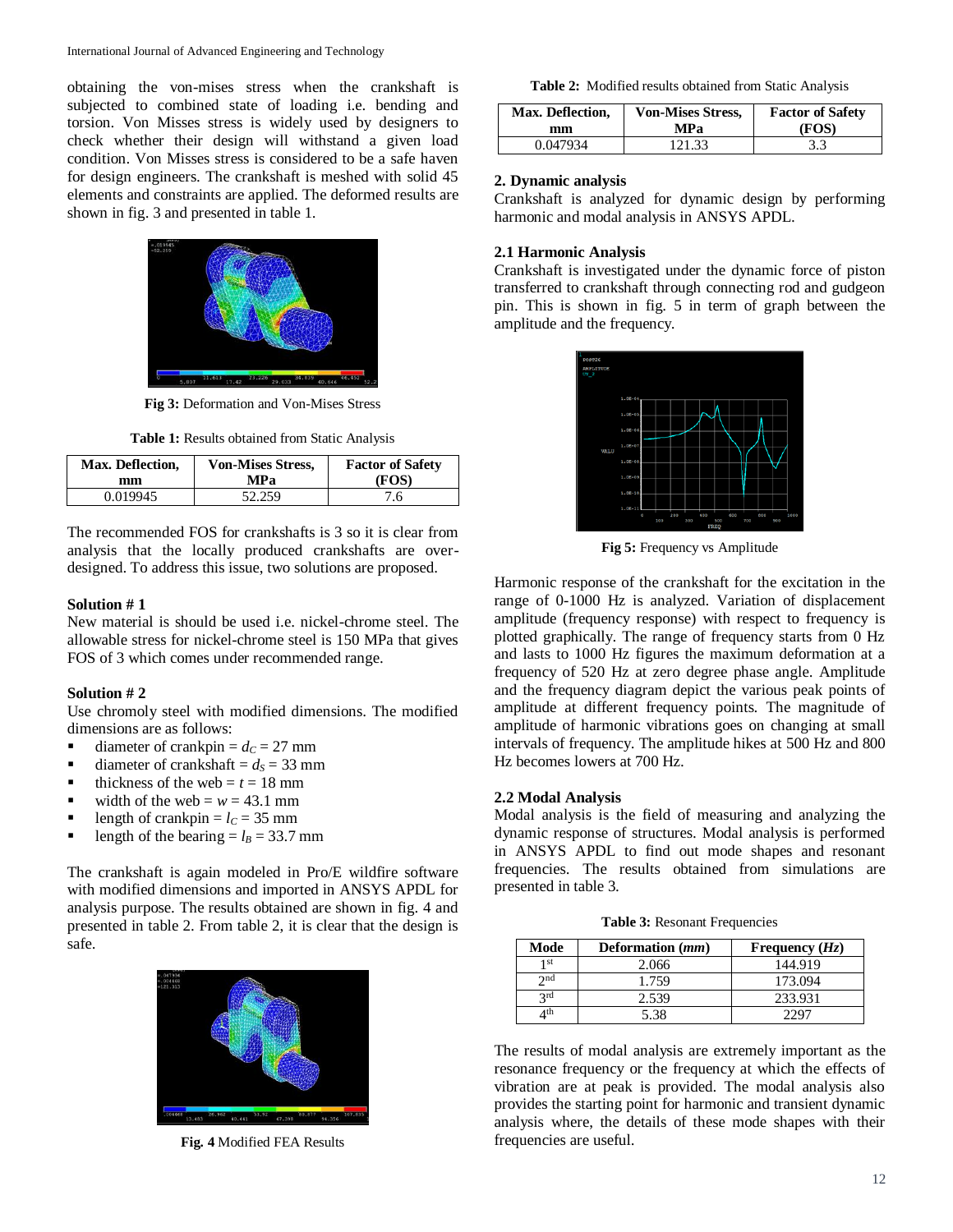obtaining the von-mises stress when the crankshaft is subjected to combined state of loading i.e. bending and torsion. Von Misses stress is widely used by designers to check whether their design will withstand a given load condition. Von Misses stress is considered to be a safe haven for design engineers. The crankshaft is meshed with solid 45 elements and constraints are applied. The deformed results are shown in fig. 3 and presented in table 1.



**Fig 3:** Deformation and Von-Mises Stress

**Table 1:** Results obtained from Static Analysis

| Max. Deflection, | <b>Von-Mises Stress,</b> | <b>Factor of Safety</b> |
|------------------|--------------------------|-------------------------|
| mm               | MPa                      | (FOS)                   |
| 0.019945         | 52.259                   | 7.6                     |

The recommended FOS for crankshafts is 3 so it is clear from analysis that the locally produced crankshafts are overdesigned. To address this issue, two solutions are proposed.

#### **Solution # 1**

New material is should be used i.e. nickel-chrome steel. The allowable stress for nickel-chrome steel is 150 MPa that gives FOS of 3 which comes under recommended range.

#### **Solution # 2**

Use chromoly steel with modified dimensions. The modified dimensions are as follows:

- diameter of crankpin  $= d<sub>C</sub> = 27$  mm
- diameter of crankshaft  $= d_s = 33$  mm
- thickness of the web  $t = t = 18$  mm
- width of the web =  $w = 43.1$  mm
- length of crankpin  $= l_C = 35$  mm
- length of the bearing  $= l_B = 33.7$  mm

The crankshaft is again modeled in Pro/E wildfire software with modified dimensions and imported in ANSYS APDL for analysis purpose. The results obtained are shown in fig. 4 and presented in table 2. From table 2, it is clear that the design is safe.



**Fig. 4** Modified FEA Results

**Table 2:** Modified results obtained from Static Analysis

| Max. Deflection, | <b>Von-Mises Stress,</b> | <b>Factor of Safety</b> |
|------------------|--------------------------|-------------------------|
| mm               | MPa                      | (FOS)                   |
| 0.047934         | 121.33                   | 3.3                     |

#### **2. Dynamic analysis**

Crankshaft is analyzed for dynamic design by performing harmonic and modal analysis in ANSYS APDL.

#### **2.1 Harmonic Analysis**

Crankshaft is investigated under the dynamic force of piston transferred to crankshaft through connecting rod and gudgeon pin. This is shown in fig. 5 in term of graph between the amplitude and the frequency.



**Fig 5:** Frequency vs Amplitude

Harmonic response of the crankshaft for the excitation in the range of 0-1000 Hz is analyzed. Variation of displacement amplitude (frequency response) with respect to frequency is plotted graphically. The range of frequency starts from 0 Hz and lasts to 1000 Hz figures the maximum deformation at a frequency of 520 Hz at zero degree phase angle. Amplitude and the frequency diagram depict the various peak points of amplitude at different frequency points. The magnitude of amplitude of harmonic vibrations goes on changing at small intervals of frequency. The amplitude hikes at 500 Hz and 800 Hz becomes lowers at 700 Hz.

# **2.2 Modal Analysis**

Modal analysis is the field of measuring and analyzing the dynamic response of structures. Modal analysis is performed in ANSYS APDL to find out mode shapes and resonant frequencies. The results obtained from simulations are presented in table 3.

**Table 3:** Resonant Frequencies

| Mode        | Deformation (mm) | Frequency $(Hz)$ |
|-------------|------------------|------------------|
| 1 st        | 2.066            | 144.919          |
| $\gamma$ nd | 1.759            | 173.094          |
| 2rd         | 2.539            | 233.931          |
| 4th         | 5 38             |                  |

The results of modal analysis are extremely important as the resonance frequency or the frequency at which the effects of vibration are at peak is provided. The modal analysis also provides the starting point for harmonic and transient dynamic analysis where, the details of these mode shapes with their frequencies are useful.